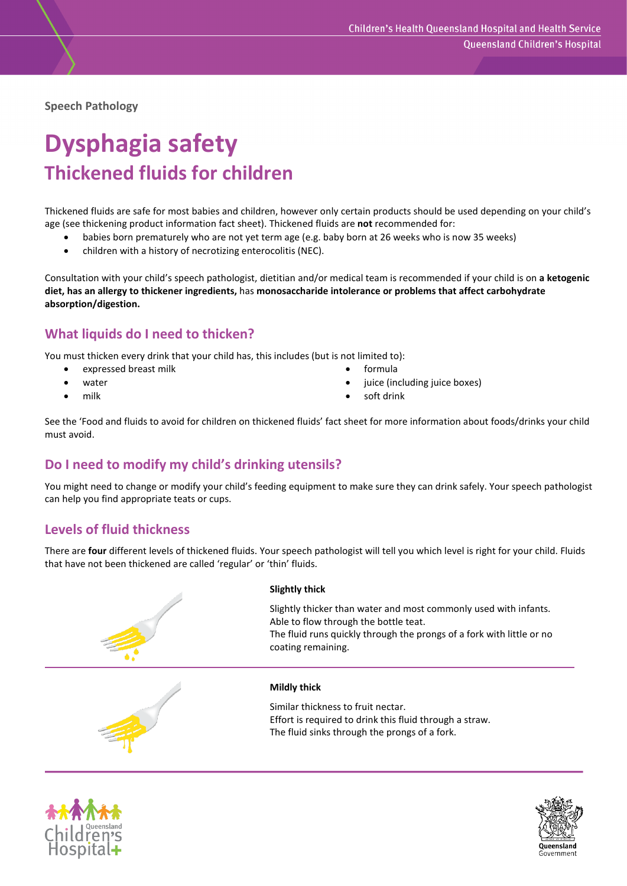**Speech Pathology**

# **Dysphagia safety Thickened fluids for children**

Thickened fluids are safe for most babies and children, however only certain products should be used depending on your child's age (see thickening product information fact sheet). Thickened fluids are **not** recommended for:

- babies born prematurely who are not yet term age (e.g. baby born at 26 weeks who is now 35 weeks)
- children with a history of necrotizing enterocolitis (NEC).

Consultation with your child's speech pathologist, dietitian and/or medical team is recommended if your child is on **a ketogenic diet, has an allergy to thickener ingredients,** has **monosaccharide intolerance or problems that affect carbohydrate absorption/digestion.**

## **What liquids do I need to thicken?**

You must thicken every drink that your child has, this includes (but is not limited to):

- expressed breast milk
- water
- milk
- formula
- juice (including juice boxes)
- soft drink

See the 'Food and fluids to avoid for children on thickened fluids' fact sheet for more information about foods/drinks your child must avoid.

# **Do I need to modify my child's drinking utensils?**

You might need to change or modify your child's feeding equipment to make sure they can drink safely. Your speech pathologist can help you find appropriate teats or cups.

## **Levels of fluid thickness**

There are **four** different levels of thickened fluids. Your speech pathologist will tell you which level is right for your child. Fluids that have not been thickened are called 'regular' or 'thin' fluids.





Slightly thicker than water and most commonly used with infants. Able to flow through the bottle teat. The fluid runs quickly through the prongs of a fork with little or no coating remaining.

#### **Mildly thick**

Similar thickness to fruit nectar. Effort is required to drink this fluid through a straw. The fluid sinks through the prongs of a fork.